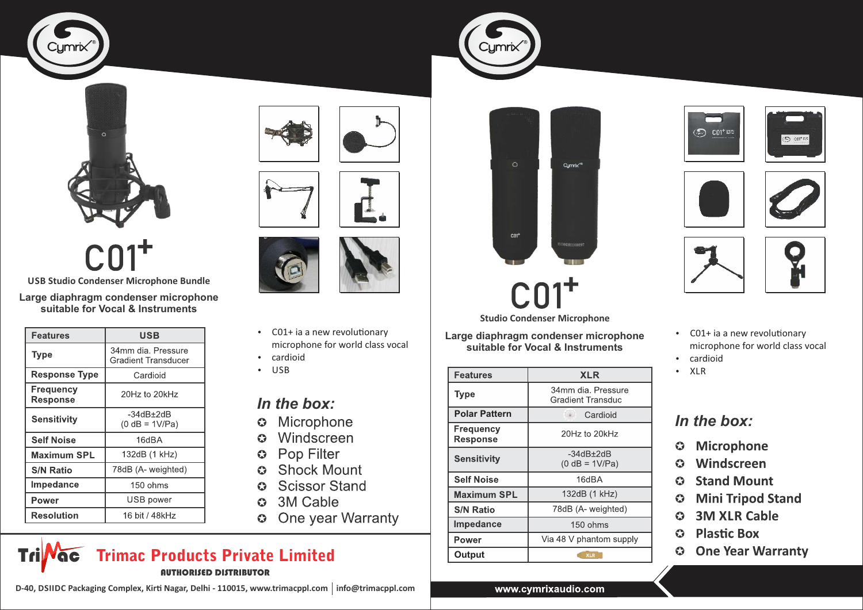





**Large diaphragm condenser microphone USB Studio Condenser Microphone Bundle**

**suitable for Vocal & Instruments**

| <b>Features</b>              | USB                                              |
|------------------------------|--------------------------------------------------|
| Type                         | 34mm dia. Pressure<br><b>Gradient Transducer</b> |
| <b>Response Type</b>         | Cardioid                                         |
| Frequency<br><b>Response</b> | 20Hz to 20kHz                                    |
| <b>Sensitivity</b>           | -34dB+2dB<br>$(0 dB = 1V/Pa)$                    |
| <b>Self Noise</b>            | 16dBA                                            |
| <b>Maximum SPL</b>           | 132dB (1 kHz)                                    |
| <b>S/N Ratio</b>             | 78dB (A- weighted)                               |
| Impedance                    | 150 ohms                                         |
| Power                        | USB power                                        |
| <b>Resolution</b>            | 16 bit / 48kHz                                   |







- $\cdot$  C01+ ia a new revolutionary microphone for world class vocal
- cardioid
- $\cdot$  USB

### *In the box:*

- Microphone  $\bullet$
- Windscreen  $\bullet$
- Pop Filter  $\bullet$
- **Shock Mount**  $\bullet$
- **Scissor Stand**  $\bullet$
- 3M Cable  $\bullet$
- One year Warranty  $\bullet$

#### AUTHORISED DISTRIBUTOR Trimac Products Private Limited **Tri** Noc

D-40, DSIIDC Packaging Complex, Kirti Nagar, Delhi - 110015, www.trimacppl.com | info@trimacppl.com



**Studio Condenser Microphone**

**Large diaphragm condenser microphone suitable for Vocal & Instruments**

| <b>Features</b>              | <b>XLR</b>                                     |
|------------------------------|------------------------------------------------|
| Type                         | 34mm dia. Pressure<br><b>Gradient Transduc</b> |
| <b>Polar Pattern</b>         | Cardioid                                       |
| Frequency<br><b>Response</b> | 20Hz to 20kHz                                  |
| <b>Sensitivity</b>           | -34dB+2dB<br>$(0 dB = 1V/Pa)$                  |
| <b>Self Noise</b>            | 16dBA                                          |
| <b>Maximum SPL</b>           | 132dB (1 kHz)                                  |
| <b>S/N Ratio</b>             | 78dB (A- weighted)                             |
| Impedance                    | $150 \text{ ohms}$                             |
| Power                        | Via 48 V phantom supply                        |
| Output                       | <b>XLR</b>                                     |







 $\odot$  continu





- $\cdot$  C01+ ia a new revolutionary microphone for world class vocal
- cardioid
- $\cdot$  XLR

### In the box:

- **Microphone**  $\bullet$
- Windscreen  $\bullet$
- **Stand Mount**  $\bullet$
- **Mini Tripod Stand**  $\bullet$
- **3M XLR Cable**  $\bullet$
- **Plastic Box**  $\bullet$
- **One Year Warranty**  $\bullet$

#### www.cymrixaudio.com